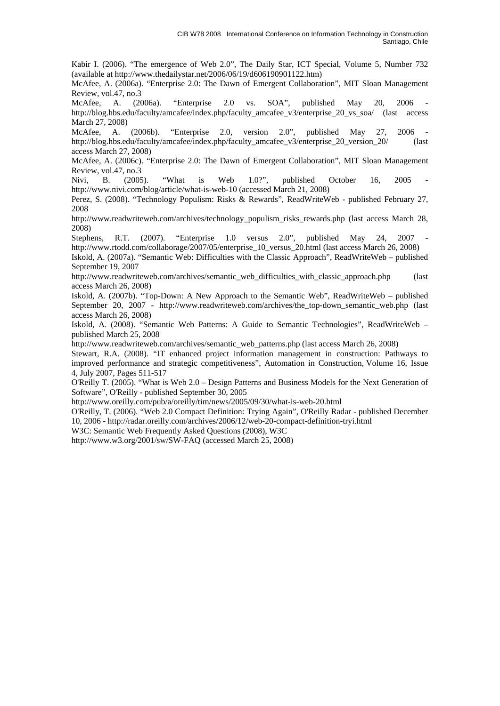Kabir I. (2006). "The emergence of Web 2.0", The Daily Star, ICT Special, Volume 5, Number 732 (available at http://www.thedailystar.net/2006/06/19/d606190901122.htm)

McAfee, A. (2006a). "Enterprise 2.0: The Dawn of Emergent Collaboration", MIT Sloan Management Review, vol.47, no.3

McAfee, A. (2006a). "Enterprise 2.0 vs. SOA", published May 20, 2006 http://blog.hbs.edu/faculty/amcafee/index.php/faculty\_amcafee\_v3/enterprise\_20\_vs\_soa/ (last access March 27, 2008)

McAfee, A. (2006b). "Enterprise 2.0, version 2.0", published May 27, 2006 http://blog.hbs.edu/faculty/amcafee/index.php/faculty\_amcafee\_v3/enterprise\_20\_version\_20/ (last access March 27, 2008)

McAfee, A. (2006c). "Enterprise 2.0: The Dawn of Emergent Collaboration", MIT Sloan Management Review, vol.47, no.3

Nivi, B. (2005). "What is Web 1.0?", published October 16, 2005 http://www.nivi.com/blog/article/what-is-web-10 (accessed March 21, 2008)

Perez, S. (2008). "Technology Populism: Risks & Rewards", ReadWriteWeb - published February 27, 2008

http://www.readwriteweb.com/archives/technology\_populism\_risks\_rewards.php (last access March 28, 2008)

Stephens, R.T. (2007). "Enterprise 1.0 versus 2.0", published May 24, 2007 http://www.rtodd.com/collaborage/2007/05/enterprise\_10\_versus\_20.html (last access March 26, 2008)

Iskold, A. (2007a). "Semantic Web: Difficulties with the Classic Approach", ReadWriteWeb – published September 19, 2007

http://www.readwriteweb.com/archives/semantic\_web\_difficulties\_with\_classic\_approach.php (last access March 26, 2008)

Iskold, A. (2007b). "Top-Down: A New Approach to the Semantic Web", ReadWriteWeb – published September 20, 2007 - http://www.readwriteweb.com/archives/the\_top-down\_semantic\_web.php (last access March 26, 2008)

Iskold, A. (2008). "Semantic Web Patterns: A Guide to Semantic Technologies", ReadWriteWeb – published March 25, 2008

http://www.readwriteweb.com/archives/semantic\_web\_patterns.php (last access March 26, 2008)

Stewart, R.A. (2008). "IT enhanced project information management in construction: Pathways to improved performance and strategic competitiveness", Automation in Construction, Volume 16, Issue 4, July 2007, Pages 511-517

O'Reilly T. (2005). "What is Web 2.0 – Design Patterns and Business Models for the Next Generation of Software", O'Reilly - published September 30, 2005

http://www.oreilly.com/pub/a/oreilly/tim/news/2005/09/30/what-is-web-20.html

O'Reilly, T. (2006). "Web 2.0 Compact Definition: Trying Again", O'Reilly Radar - published December 10, 2006 - http://radar.oreilly.com/archives/2006/12/web-20-compact-definition-tryi.html

W3C: Semantic Web Frequently Asked Ouestions (2008), W3C

http://www.w3.org/2001/sw/SW-FAQ (accessed March 25, 2008)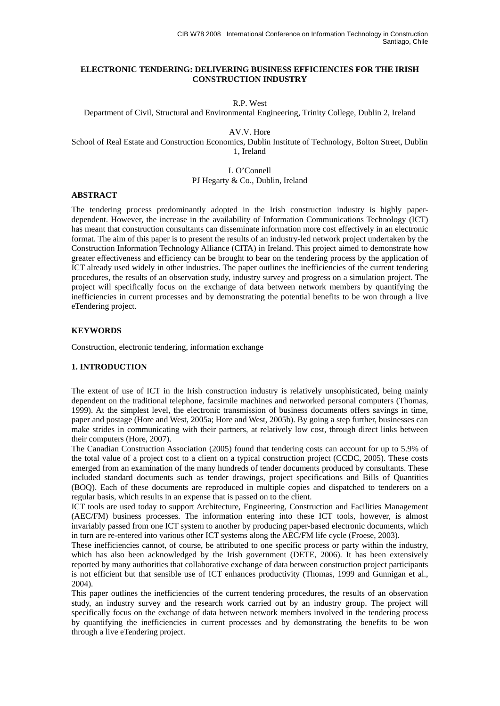## **ELECTRONIC TENDERING: DELIVERING BUSINESS EFFICIENCIES FOR THE IRISH CONSTRUCTION INDUSTRY**

R.P. West

Department of Civil, Structural and Environmental Engineering, Trinity College, Dublin 2, Ireland

AV.V. Hore

School of Real Estate and Construction Economics, Dublin Institute of Technology, Bolton Street, Dublin 1, Ireland

> L O'Connell PJ Hegarty & Co., Dublin, Ireland

#### **ABSTRACT**

The tendering process predominantly adopted in the Irish construction industry is highly paperdependent. However, the increase in the availability of Information Communications Technology (ICT) has meant that construction consultants can disseminate information more cost effectively in an electronic format. The aim of this paper is to present the results of an industry-led network project undertaken by the Construction Information Technology Alliance (CITA) in Ireland. This project aimed to demonstrate how greater effectiveness and efficiency can be brought to bear on the tendering process by the application of ICT already used widely in other industries. The paper outlines the inefficiencies of the current tendering procedures, the results of an observation study, industry survey and progress on a simulation project. The project will specifically focus on the exchange of data between network members by quantifying the inefficiencies in current processes and by demonstrating the potential benefits to be won through a live eTendering project.

#### **KEYWORDS**

Construction, electronic tendering, information exchange

#### **1. INTRODUCTION**

The extent of use of ICT in the Irish construction industry is relatively unsophisticated, being mainly dependent on the traditional telephone, facsimile machines and networked personal computers (Thomas, 1999). At the simplest level, the electronic transmission of business documents offers savings in time, paper and postage (Hore and West, 2005a; Hore and West, 2005b). By going a step further, businesses can make strides in communicating with their partners, at relatively low cost, through direct links between their computers (Hore, 2007).

The Canadian Construction Association (2005) found that tendering costs can account for up to 5.9% of the total value of a project cost to a client on a typical construction project (CCDC, 2005). These costs emerged from an examination of the many hundreds of tender documents produced by consultants. These included standard documents such as tender drawings, project specifications and Bills of Quantities (BOQ). Each of these documents are reproduced in multiple copies and dispatched to tenderers on a regular basis, which results in an expense that is passed on to the client.

ICT tools are used today to support Architecture, Engineering, Construction and Facilities Management (AEC/FM) business processes. The information entering into these ICT tools, however, is almost invariably passed from one ICT system to another by producing paper-based electronic documents, which in turn are re-entered into various other ICT systems along the AEC/FM life cycle (Froese, 2003).

These inefficiencies cannot, of course, be attributed to one specific process or party within the industry, which has also been acknowledged by the Irish government (DETE, 2006). It has been extensively reported by many authorities that collaborative exchange of data between construction project participants is not efficient but that sensible use of ICT enhances productivity (Thomas, 1999 and Gunnigan et al., 2004).

This paper outlines the inefficiencies of the current tendering procedures, the results of an observation study, an industry survey and the research work carried out by an industry group. The project will specifically focus on the exchange of data between network members involved in the tendering process by quantifying the inefficiencies in current processes and by demonstrating the benefits to be won through a live eTendering project.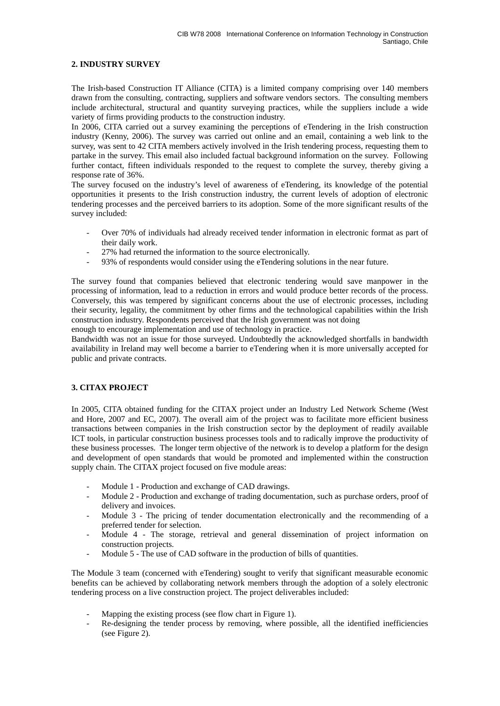## **2. INDUSTRY SURVEY**

The Irish-based Construction IT Alliance (CITA) is a limited company comprising over 140 members drawn from the consulting, contracting, suppliers and software vendors sectors. The consulting members include architectural, structural and quantity surveying practices, while the suppliers include a wide variety of firms providing products to the construction industry.

In 2006, CITA carried out a survey examining the perceptions of eTendering in the Irish construction industry (Kenny, 2006). The survey was carried out online and an email, containing a web link to the survey, was sent to 42 CITA members actively involved in the Irish tendering process, requesting them to partake in the survey. This email also included factual background information on the survey. Following further contact, fifteen individuals responded to the request to complete the survey, thereby giving a response rate of 36%.

The survey focused on the industry's level of awareness of eTendering, its knowledge of the potential opportunities it presents to the Irish construction industry, the current levels of adoption of electronic tendering processes and the perceived barriers to its adoption. Some of the more significant results of the survey included:

- Over 70% of individuals had already received tender information in electronic format as part of their daily work.
- 27% had returned the information to the source electronically.
- 93% of respondents would consider using the eTendering solutions in the near future.

The survey found that companies believed that electronic tendering would save manpower in the processing of information, lead to a reduction in errors and would produce better records of the process. Conversely, this was tempered by significant concerns about the use of electronic processes, including their security, legality, the commitment by other firms and the technological capabilities within the Irish construction industry. Respondents perceived that the Irish government was not doing

enough to encourage implementation and use of technology in practice.

Bandwidth was not an issue for those surveyed. Undoubtedly the acknowledged shortfalls in bandwidth availability in Ireland may well become a barrier to eTendering when it is more universally accepted for public and private contracts.

# **3. CITAX PROJECT**

In 2005, CITA obtained funding for the CITAX project under an Industry Led Network Scheme (West and Hore, 2007 and EC, 2007). The overall aim of the project was to facilitate more efficient business transactions between companies in the Irish construction sector by the deployment of readily available ICT tools, in particular construction business processes tools and to radically improve the productivity of these business processes. The longer term objective of the network is to develop a platform for the design and development of open standards that would be promoted and implemented within the construction supply chain. The CITAX project focused on five module areas:

- Module 1 Production and exchange of CAD drawings.
- Module 2 Production and exchange of trading documentation, such as purchase orders, proof of delivery and invoices.
- Module 3 The pricing of tender documentation electronically and the recommending of a preferred tender for selection.
- Module 4 The storage, retrieval and general dissemination of project information on construction projects.
- Module 5 The use of CAD software in the production of bills of quantities.

The Module 3 team (concerned with eTendering) sought to verify that significant measurable economic benefits can be achieved by collaborating network members through the adoption of a solely electronic tendering process on a live construction project. The project deliverables included:

- Mapping the existing process (see flow chart in Figure 1).
- Re-designing the tender process by removing, where possible, all the identified inefficiencies (see Figure 2).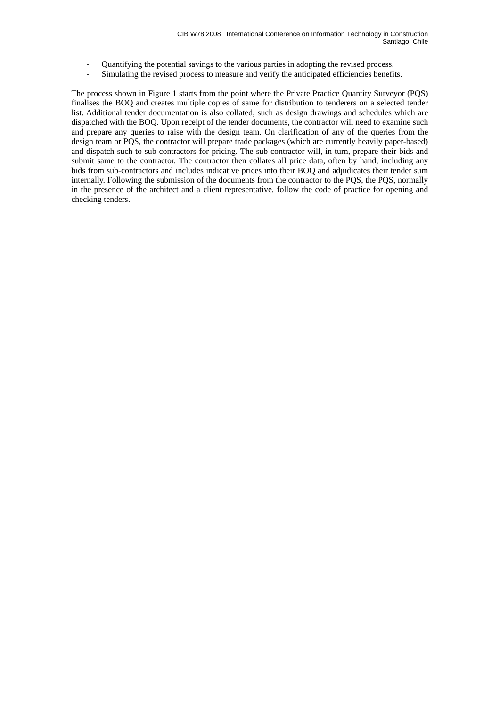- Quantifying the potential savings to the various parties in adopting the revised process.
- Simulating the revised process to measure and verify the anticipated efficiencies benefits.

The process shown in Figure 1 starts from the point where the Private Practice Quantity Surveyor (PQS) finalises the BOQ and creates multiple copies of same for distribution to tenderers on a selected tender list. Additional tender documentation is also collated, such as design drawings and schedules which are dispatched with the BOQ. Upon receipt of the tender documents, the contractor will need to examine such and prepare any queries to raise with the design team. On clarification of any of the queries from the design team or PQS, the contractor will prepare trade packages (which are currently heavily paper-based) and dispatch such to sub-contractors for pricing. The sub-contractor will, in turn, prepare their bids and submit same to the contractor. The contractor then collates all price data, often by hand, including any bids from sub-contractors and includes indicative prices into their BOQ and adjudicates their tender sum internally. Following the submission of the documents from the contractor to the PQS, the PQS, normally in the presence of the architect and a client representative, follow the code of practice for opening and checking tenders.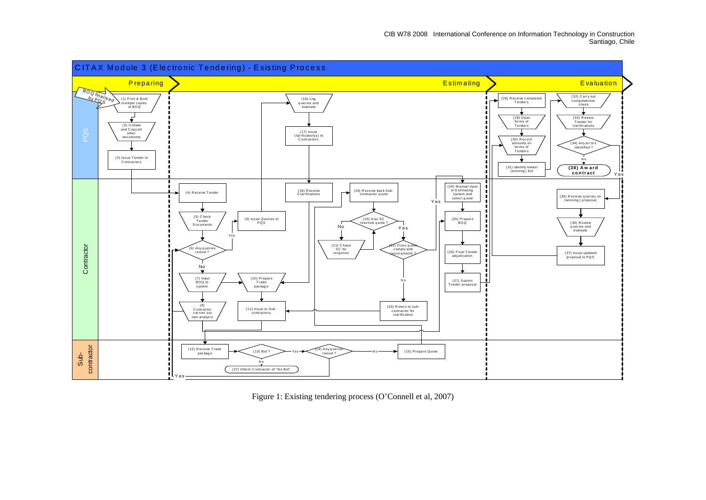

Figure 1: Existing tendering process (O'Connell et al, 2007)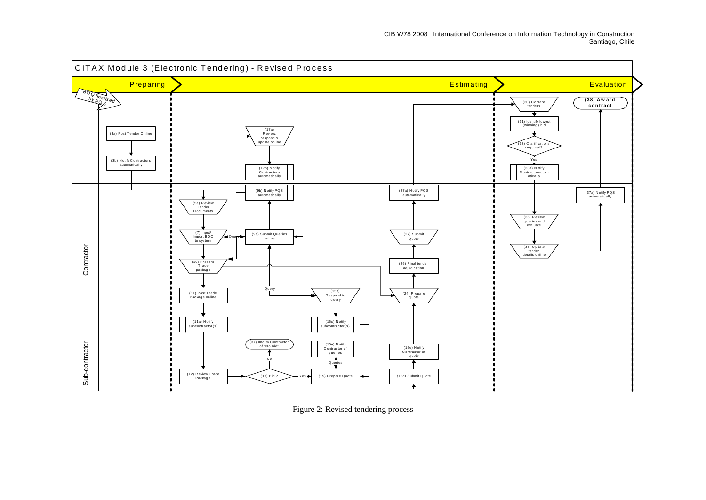

Figure 2: Revised tendering process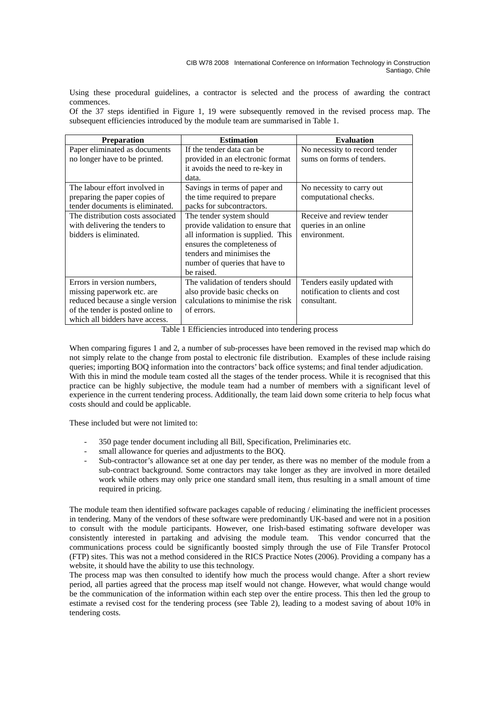Using these procedural guidelines, a contractor is selected and the process of awarding the contract commences.

Of the 37 steps identified in Figure 1, 19 were subsequently removed in the revised process map. The subsequent efficiencies introduced by the module team are summarised in Table 1.

| <b>Preparation</b>                | <b>Estimation</b>                 | <b>Evaluation</b>                |  |
|-----------------------------------|-----------------------------------|----------------------------------|--|
| Paper eliminated as documents     | If the tender data can be         | No necessity to record tender    |  |
| no longer have to be printed.     | provided in an electronic format  | sums on forms of tenders.        |  |
|                                   | it avoids the need to re-key in   |                                  |  |
|                                   | data.                             |                                  |  |
| The labour effort involved in     | Savings in terms of paper and     | No necessity to carry out        |  |
| preparing the paper copies of     | the time required to prepare      | computational checks.            |  |
| tender documents is eliminated.   | packs for subcontractors.         |                                  |  |
| The distribution costs associated | The tender system should          | Receive and review tender        |  |
| with delivering the tenders to    | provide validation to ensure that | queries in an online.            |  |
| bidders is eliminated.            | all information is supplied. This | environment.                     |  |
|                                   | ensures the completeness of       |                                  |  |
|                                   | tenders and minimises the         |                                  |  |
|                                   | number of queries that have to    |                                  |  |
|                                   | be raised.                        |                                  |  |
| Errors in version numbers,        | The validation of tenders should  | Tenders easily updated with      |  |
| missing paperwork etc. are        | also provide basic checks on      | notification to clients and cost |  |
| reduced because a single version  | calculations to minimise the risk | consultant.                      |  |
| of the tender is posted online to | of errors.                        |                                  |  |
| which all bidders have access.    |                                   |                                  |  |

Table 1 Efficiencies introduced into tendering process

When comparing figures 1 and 2, a number of sub-processes have been removed in the revised map which do not simply relate to the change from postal to electronic file distribution. Examples of these include raising queries; importing BOQ information into the contractors' back office systems; and final tender adjudication. With this in mind the module team costed all the stages of the tender process. While it is recognised that this practice can be highly subjective, the module team had a number of members with a significant level of experience in the current tendering process. Additionally, the team laid down some criteria to help focus what costs should and could be applicable.

These included but were not limited to:

- 350 page tender document including all Bill, Specification, Preliminaries etc.
- small allowance for queries and adjustments to the BOQ.
- Sub-contractor's allowance set at one day per tender, as there was no member of the module from a sub-contract background. Some contractors may take longer as they are involved in more detailed work while others may only price one standard small item, thus resulting in a small amount of time required in pricing.

The module team then identified software packages capable of reducing / eliminating the inefficient processes in tendering. Many of the vendors of these software were predominantly UK-based and were not in a position to consult with the module participants. However, one Irish-based estimating software developer was consistently interested in partaking and advising the module team. This vendor concurred that the communications process could be significantly boosted simply through the use of File Transfer Protocol (FTP) sites. This was not a method considered in the RICS Practice Notes (2006). Providing a company has a website, it should have the ability to use this technology.

The process map was then consulted to identify how much the process would change. After a short review period, all parties agreed that the process map itself would not change. However, what would change would be the communication of the information within each step over the entire process. This then led the group to estimate a revised cost for the tendering process (see Table 2), leading to a modest saving of about 10% in tendering costs.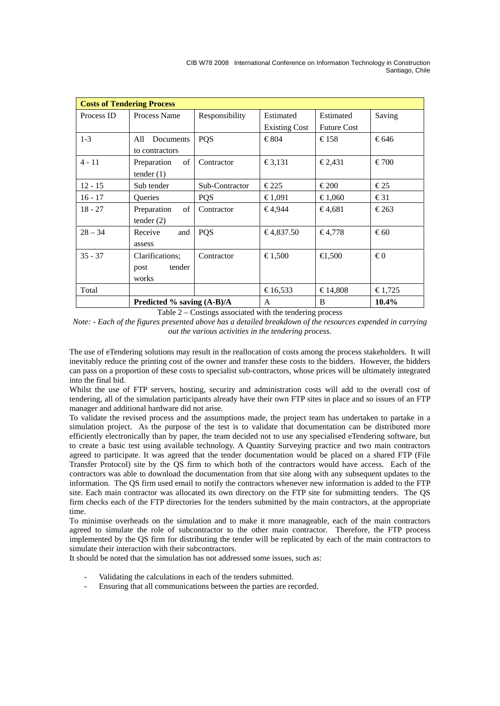CIB W78 2008 International Conference on Information Technology in Construction Santiago, Chile

| <b>Costs of Tendering Process</b> |                              |                |                      |                    |               |  |  |
|-----------------------------------|------------------------------|----------------|----------------------|--------------------|---------------|--|--|
| Process ID                        | Process Name                 | Responsibility | Estimated            | Estimated          | Saving        |  |  |
|                                   |                              |                | <b>Existing Cost</b> | <b>Future Cost</b> |               |  |  |
| $1-3$                             | All<br>Documents             | PQS            | €804                 | €158               | €646          |  |  |
|                                   | to contractors               |                |                      |                    |               |  |  |
| $4 - 11$                          | of<br>Preparation            | Contractor     | €3,131               | $\epsilon$ 2,431   | €700          |  |  |
|                                   | tender $(1)$                 |                |                      |                    |               |  |  |
| $12 - 15$                         | Sub tender                   | Sub-Contractor | $\epsilon$ 225       | €200               | $\epsilon$ 25 |  |  |
| $16 - 17$                         | <b>Oueries</b>               | <b>PQS</b>     | €1,091               | €1,060             | $\epsilon$ 31 |  |  |
| $18 - 27$                         | Preparation<br>of            | Contractor     | €4,944               | €4,681             | €263          |  |  |
|                                   | tender $(2)$                 |                |                      |                    |               |  |  |
| $28 - 34$                         | Receive<br>and               | <b>POS</b>     | €4,837.50            | €4,778             | €60           |  |  |
|                                   | assess                       |                |                      |                    |               |  |  |
| $35 - 37$                         | Clarifications:              | Contractor     | €1,500               | €1,500             | €0            |  |  |
|                                   | tender<br>post               |                |                      |                    |               |  |  |
|                                   | works                        |                |                      |                    |               |  |  |
| Total                             |                              |                | €16,533              | €14,808            | €1,725        |  |  |
|                                   | Predicted % saving $(A-B)/A$ |                | A                    | B                  | 10.4%         |  |  |

Table 2 – Costings associated with the tendering process

*Note: - Each of the figures presented above has a detailed breakdown of the resources expended in carrying out the various activities in the tendering process.* 

The use of eTendering solutions may result in the reallocation of costs among the process stakeholders. It will inevitably reduce the printing cost of the owner and transfer these costs to the bidders. However, the bidders can pass on a proportion of these costs to specialist sub-contractors, whose prices will be ultimately integrated into the final bid.

Whilst the use of FTP servers, hosting, security and administration costs will add to the overall cost of tendering, all of the simulation participants already have their own FTP sites in place and so issues of an FTP manager and additional hardware did not arise.

To validate the revised process and the assumptions made, the project team has undertaken to partake in a simulation project. As the purpose of the test is to validate that documentation can be distributed more efficiently electronically than by paper, the team decided not to use any specialised eTendering software, but to create a basic test using available technology. A Quantity Surveying practice and two main contractors agreed to participate. It was agreed that the tender documentation would be placed on a shared FTP (File Transfer Protocol) site by the QS firm to which both of the contractors would have access. Each of the contractors was able to download the documentation from that site along with any subsequent updates to the information. The QS firm used email to notify the contractors whenever new information is added to the FTP site. Each main contractor was allocated its own directory on the FTP site for submitting tenders. The QS firm checks each of the FTP directories for the tenders submitted by the main contractors, at the appropriate time.

To minimise overheads on the simulation and to make it more manageable, each of the main contractors agreed to simulate the role of subcontractor to the other main contractor. Therefore, the FTP process implemented by the QS firm for distributing the tender will be replicated by each of the main contractors to simulate their interaction with their subcontractors.

It should be noted that the simulation has not addressed some issues, such as:

- Validating the calculations in each of the tenders submitted.
- Ensuring that all communications between the parties are recorded.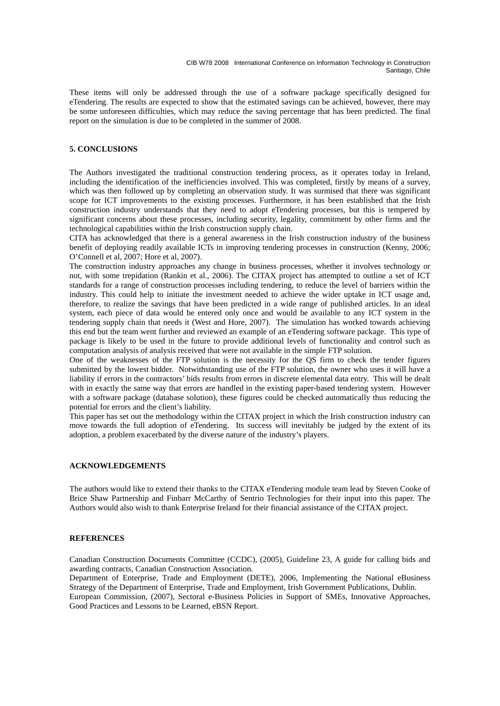These items will only be addressed through the use of a software package specifically designed for eTendering. The results are expected to show that the estimated savings can be achieved, however, there may be some unforeseen difficulties, which may reduce the saving percentage that has been predicted. The final report on the simulation is due to be completed in the summer of 2008.

### **5. CONCLUSIONS**

The Authors investigated the traditional construction tendering process, as it operates today in Ireland, including the identification of the inefficiencies involved. This was completed, firstly by means of a survey, which was then followed up by completing an observation study. It was surmised that there was significant scope for ICT improvements to the existing processes. Furthermore, it has been established that the Irish construction industry understands that they need to adopt eTendering processes, but this is tempered by significant concerns about these processes, including security, legality, commitment by other firms and the technological capabilities within the Irish construction supply chain.

CITA has acknowledged that there is a general awareness in the Irish construction industry of the business benefit of deploying readily available ICTs in improving tendering processes in construction (Kenny, 2006; O'Connell et al, 2007; Hore et al, 2007).

The construction industry approaches any change in business processes, whether it involves technology or not, with some trepidation (Rankin et al., 2006). The CITAX project has attempted to outline a set of ICT standards for a range of construction processes including tendering, to reduce the level of barriers within the industry. This could help to initiate the investment needed to achieve the wider uptake in ICT usage and, therefore, to realize the savings that have been predicted in a wide range of published articles. In an ideal system, each piece of data would be entered only once and would be available to any ICT system in the tendering supply chain that needs it (West and Hore, 2007). The simulation has worked towards achieving this end but the team went further and reviewed an example of an eTendering software package. This type of package is likely to be used in the future to provide additional levels of functionality and control such as computation analysis of analysis received that were not available in the simple FTP solution.

One of the weaknesses of the FTP solution is the necessity for the QS firm to check the tender figures submitted by the lowest bidder. Notwithstanding use of the FTP solution, the owner who uses it will have a liability if errors in the contractors' bids results from errors in discrete elemental data entry. This will be dealt with in exactly the same way that errors are handled in the existing paper-based tendering system. However with a software package (database solution), these figures could be checked automatically thus reducing the potential for errors and the client's liability.

This paper has set out the methodology within the CITAX project in which the Irish construction industry can move towards the full adoption of eTendering. Its success will inevitably be judged by the extent of its adoption, a problem exacerbated by the diverse nature of the industry's players.

### **ACKNOWLEDGEMENTS**

The authors would like to extend their thanks to the CITAX eTendering module team lead by Steven Cooke of Brice Shaw Partnership and Finbarr McCarthy of Sentrio Technologies for their input into this paper. The Authors would also wish to thank Enterprise Ireland for their financial assistance of the CITAX project.

#### **REFERENCES**

Canadian Construction Documents Committee (CCDC), (2005), Guideline 23, A guide for calling bids and awarding contracts, Canadian Construction Association.

Department of Enterprise, Trade and Employment (DETE), 2006, Implementing the National eBusiness Strategy of the Department of Enterprise, Trade and Employment, Irish Government Publications, Dublin. European Commission, (2007), Sectoral e-Business Policies in Support of SMEs, Innovative Approaches, Good Practices and Lessons to be Learned, eBSN Report.